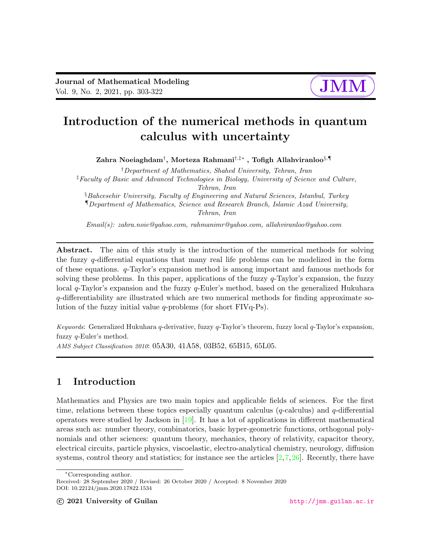

# Introduction of the numerical methods in quantum calculus with uncertainty

 ${\mathbf Z}$ ahra Noeiaghdam $^\dagger,$  Morteza  ${\mathbf R}$ ahmani $^{\dagger, \ddagger *}$  , Tofigh Allahviranloo $^{ \S, \P }$ 

†Department of Mathematics, Shahed University, Tehran, Iran ‡Faculty of Basic and Advanced Technologies in Biology, University of Science and Culture, Tehran, Iran §Bahcesehir University, Faculty of Engineering and Natural Sciences, Istanbul, Turkey ¶Department of Mathematics, Science and Research Branch, Islamic Azad University,

Tehran, Iran

Email(s): zahra.noie@yahoo.com, rahmanimr@yahoo.com, allahviranloo@yahoo.com

Abstract. The aim of this study is the introduction of the numerical methods for solving the fuzzy q-differential equations that many real life problems can be modelized in the form of these equations. q-Taylor's expansion method is among important and famous methods for solving these problems. In this paper, applications of the fuzzy  $q$ -Taylor's expansion, the fuzzy local q-Taylor's expansion and the fuzzy q-Euler's method, based on the generalized Hukuhara q-differentiability are illustrated which are two numerical methods for finding approximate solution of the fuzzy initial value q-problems (for short FIVq-Ps).

Keywords: Generalized Hukuhara  $q$ -derivative, fuzzy  $q$ -Taylor's theorem, fuzzy local  $q$ -Taylor's expansion, fuzzy q-Euler's method.

AMS Subject Classification 2010: 05A30, 41A58, 03B52, 65B15, 65L05.

# 1 Introduction

Mathematics and Physics are two main topics and applicable fields of sciences. For the first time, relations between these topics especially quantum calculus ( $q$ -calculus) and  $q$ -differential operators were studied by Jackson in  $[19]$ . It has a lot of applications in different mathematical areas such as: number theory, combinatorics, basic hyper-geometric functions, orthogonal polynomials and other sciences: quantum theory, mechanics, theory of relativity, capacitor theory, electrical circuits, particle physics, viscoelastic, electro-analytical chemistry, neurology, diffusion systems, control theory and statistics; for instance see the articles  $[2,7,26]$  $[2,7,26]$  $[2,7,26]$ . Recently, there have

<sup>∗</sup>Corresponding author.

Received: 28 September 2020 / Revised: 26 October 2020 / Accepted: 8 November 2020 DOI: 10.22124/jmm.2020.17822.1534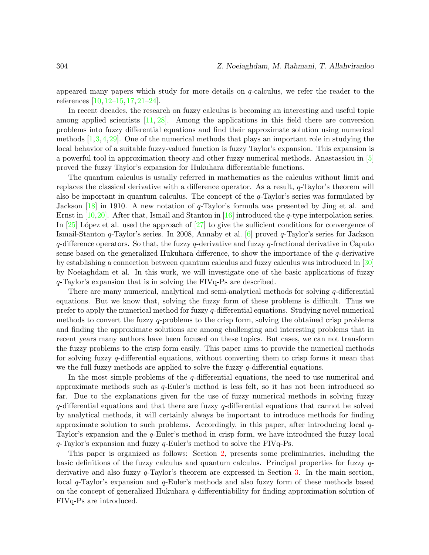appeared many papers which study for more details on q-calculus, we refer the reader to the references [\[10,](#page-18-2) [12](#page-18-3)[–15,](#page-18-4) [17,](#page-18-5) [21](#page-18-6)[–24\]](#page-19-1).

In recent decades, the research on fuzzy calculus is becoming an interesting and useful topic among applied scientists [\[11,](#page-18-7) [28\]](#page-19-2). Among the applications in this field there are conversion problems into fuzzy differential equations and find their approximate solution using numerical methods [\[1,](#page-17-1)[3,](#page-17-2)[4,](#page-17-3)[29\]](#page-19-3). One of the numerical methods that plays an important role in studying the local behavior of a suitable fuzzy-valued function is fuzzy Taylor's expansion. This expansion is a powerful tool in approximation theory and other fuzzy numerical methods. Anastassiou in [\[5\]](#page-17-4) proved the fuzzy Taylor's expansion for Hukuhara differentiable functions.

The quantum calculus is usually referred in mathematics as the calculus without limit and replaces the classical derivative with a difference operator. As a result,  $q$ -Taylor's theorem will also be important in quantum calculus. The concept of the  $q$ -Taylor's series was formulated by Jackson [\[18\]](#page-18-8) in 1910. A new notation of q-Taylor's formula was presented by Jing et al. and Ernst in  $[10,20]$  $[10,20]$ . After that, Ismail and Stanton in  $[16]$  introduced the *q*-type interpolation series. In  $[25]$  López et al. used the approach of  $[27]$  to give the sufficient conditions for convergence of Ismail-Stanton q-Taylor's series. In 2008, Annaby et al. [\[6\]](#page-17-5) proved q-Taylor's series for Jackson  $q$ -difference operators. So that, the fuzzy  $q$ -derivative and fuzzy  $q$ -fractional derivative in Caputo sense based on the generalized Hukuhara difference, to show the importance of the q-derivative by establishing a connection between quantum calculus and fuzzy calculus was introduced in [\[30\]](#page-19-6) by Noeiaghdam et al. In this work, we will investigate one of the basic applications of fuzzy q-Taylor's expansion that is in solving the FIVq-Ps are described.

There are many numerical, analytical and semi-analytical methods for solving q-differential equations. But we know that, solving the fuzzy form of these problems is difficult. Thus we prefer to apply the numerical method for fuzzy  $q$ -differential equations. Studying novel numerical methods to convert the fuzzy q-problems to the crisp form, solving the obtained crisp problems and finding the approximate solutions are among challenging and interesting problems that in recent years many authors have been focused on these topics. But cases, we can not transform the fuzzy problems to the crisp form easily. This paper aims to provide the numerical methods for solving fuzzy q-differential equations, without converting them to crisp forms it mean that we the full fuzzy methods are applied to solve the fuzzy  $q$ -differential equations.

In the most simple problems of the q-differential equations, the need to use numerical and approximate methods such as  $q$ -Euler's method is less felt, so it has not been introduced so far. Due to the explanations given for the use of fuzzy numerical methods in solving fuzzy q-differential equations and that there are fuzzy q-differential equations that cannot be solved by analytical methods, it will certainly always be important to introduce methods for finding approximate solution to such problems. Accordingly, in this paper, after introducing local  $q$ -Taylor's expansion and the q-Euler's method in crisp form, we have introduced the fuzzy local  $q$ -Taylor's expansion and fuzzy  $q$ -Euler's method to solve the FIVq-Ps.

This paper is organized as follows: Section [2,](#page-2-0) presents some preliminaries, including the basic definitions of the fuzzy calculus and quantum calculus. Principal properties for fuzzy q-derivative and also fuzzy q-Taylor's theorem are expressed in Section [3.](#page-4-0) In the main section, local q-Taylor's expansion and q-Euler's methods and also fuzzy form of these methods based on the concept of generalized Hukuhara q-differentiability for finding approximation solution of FIVq-Ps are introduced.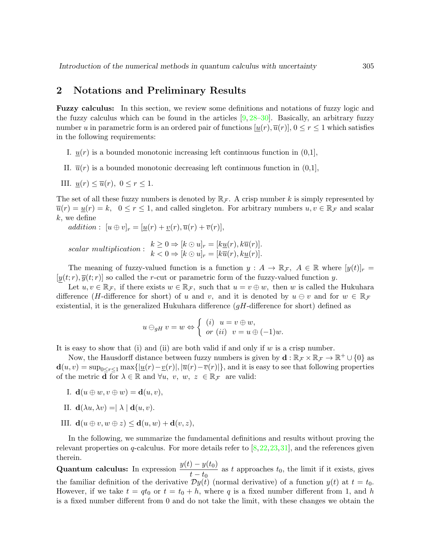## <span id="page-2-0"></span>2 Notations and Preliminary Results

Fuzzy calculus: In this section, we review some definitions and notations of fuzzy logic and the fuzzy calculus which can be found in the articles  $[9, 28-30]$  $[9, 28-30]$ . Basically, an arbitrary fuzzy number u in parametric form is an ordered pair of functions  $[u(r), \overline{u}(r)]$ ,  $0 \le r \le 1$  which satisfies in the following requirements:

- I.  $u(r)$  is a bounded monotonic increasing left continuous function in  $(0,1]$ ,
- II.  $\overline{u}(r)$  is a bounded monotonic decreasing left continuous function in (0,1],
- III.  $u(r) \leq \overline{u}(r)$ ,  $0 \leq r \leq 1$ .

The set of all these fuzzy numbers is denoted by  $\mathbb{R}_{\mathcal{F}}$ . A crisp number k is simply represented by  $\overline{u}(r) = u(r) = k$ ,  $0 \le r \le 1$ , and called singleton. For arbitrary numbers  $u, v \in \mathbb{R}_{\mathcal{F}}$  and scalar  $k$ , we define

addition :  $[u \oplus v]_r = [\underline{u}(r) + \underline{v}(r), \overline{u}(r) + \overline{v}(r)],$ 

 $scalar \ multiplication : k \geq 0 \Rightarrow [k \odot u]_r = [k\underline{u}(r), k\overline{u}(r)].$  $k < 0 \Rightarrow [k \odot u]_r = [k \overline{u}(r), k \underline{u}(r)].$ 

The meaning of fuzzy-valued function is a function  $y : A \to \mathbb{R}_{\mathcal{F}}$ ,  $A \in \mathbb{R}$  where  $[y(t)]_r =$  $[y(t; r), \overline{y}(t; r)]$  so called the r-cut or parametric form of the fuzzy-valued function y.

Let  $u, v \in \mathbb{R}_{\mathcal{F}}$ , if there exists  $w \in \mathbb{R}_{\mathcal{F}}$ , such that  $u = v \oplus w$ , then w is called the Hukuhara difference (H-difference for short) of u and v, and it is denoted by  $u \ominus v$  and for  $w \in \mathbb{R}_{\mathcal{F}}$ existential, it is the generalized Hukuhara difference ( $qH$ -difference for short) defined as

$$
u \ominus_{gH} v = w \Leftrightarrow \begin{cases} (i) & u = v \oplus w, \\ or (ii) & v = u \oplus (-1)w. \end{cases}
$$

It is easy to show that (i) and (ii) are both valid if and only if w is a crisp number.

Now, the Hausdorff distance between fuzzy numbers is given by  $\mathbf{d} : \mathbb{R}_{\mathcal{F}} \times \mathbb{R}_{\mathcal{F}} \to \mathbb{R}^+ \cup \{0\}$  as  $\mathbf{d}(u, v) = \sup_{0 \le r \le 1} \max\{|u(r) - v(r)|, |\overline{u}(r) - \overline{v}(r)|\}$ , and it is easy to see that following properties of the metric **d** for  $\lambda \in \mathbb{R}$  and  $\forall u, v, w, z \in \mathbb{R}_{\mathcal{F}}$  are valid:

- I.  $\mathbf{d}(u \oplus w, v \oplus w) = \mathbf{d}(u, v),$
- II.  $\mathbf{d}(\lambda u, \lambda v) = |\lambda| \mathbf{d}(u, v)$ .
- III.  $\mathbf{d}(u \oplus v, w \oplus z) \leq \mathbf{d}(u, w) + \mathbf{d}(v, z),$

In the following, we summarize the fundamental definitions and results without proving the relevant properties on q-calculus. For more details refer to  $[8,22,23,31]$  $[8,22,23,31]$  $[8,22,23,31]$  $[8,22,23,31]$ , and the references given therein.

**Quantum calculus:** In expression  $\frac{y(t) - y(t_0)}{t_0}$  $\frac{f(t)-f(t)}{t-t_0}$  as t approaches t<sub>0</sub>, the limit if it exists, gives the familiar definition of the derivative  $\mathcal{D}y(t)$  (normal derivative) of a function  $y(t)$  at  $t = t_0$ . However, if we take  $t = qt_0$  or  $t = t_0 + h$ , where q is a fixed number different from 1, and h is a fixed number different from 0 and do not take the limit, with these changes we obtain the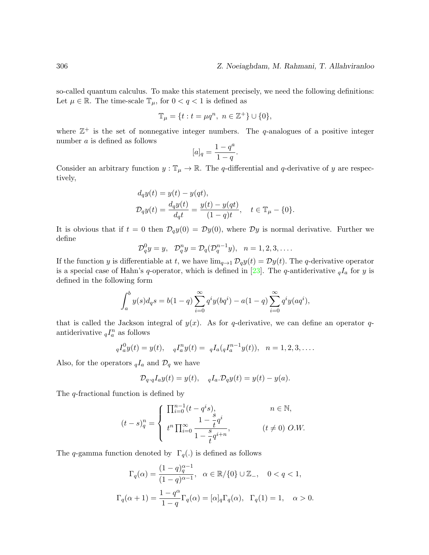so-called quantum calculus. To make this statement precisely, we need the following definitions: Let  $\mu \in \mathbb{R}$ . The time-scale  $\mathbb{T}_{\mu}$ , for  $0 < q < 1$  is defined as

$$
\mathbb{T}_{\mu} = \{ t : t = \mu q^n, \ n \in \mathbb{Z}^+ \} \cup \{ 0 \},
$$

where  $\mathbb{Z}^+$  is the set of nonnegative integer numbers. The q-analogues of a positive integer number a is defined as follows a

$$
[a]_q = \frac{1 - q^a}{1 - q}.
$$

Consider an arbitrary function  $y : \mathbb{T}_{\mu} \to \mathbb{R}$ . The q-differential and q-derivative of y are respectively,

$$
d_q y(t) = y(t) - y(qt),
$$
  
\n
$$
\mathcal{D}_q y(t) = \frac{d_q y(t)}{d_q t} = \frac{y(t) - y(qt)}{(1 - q)t}, \quad t \in \mathbb{T}_{\mu} - \{0\}.
$$

It is obvious that if  $t = 0$  then  $\mathcal{D}_q y(0) = \mathcal{D} y(0)$ , where  $\mathcal{D} y$  is normal derivative. Further we define

$$
\mathcal{D}_q^0 y = y, \quad \mathcal{D}_q^n y = \mathcal{D}_q(\mathcal{D}_q^{n-1} y), \quad n = 1, 2, 3, \dots
$$

If the function y is differentiable at t, we have  $\lim_{q\to 1} \mathcal{D}_q y(t) = \mathcal{D} y(t)$ . The q-derivative operator is a special case of Hahn's q-operator, which is defined in [\[23\]](#page-19-7). The q-antiderivative  $_qI_a$  for y is defined in the following form

$$
\int_{a}^{b} y(s) d_{q}s = b(1-q) \sum_{i=0}^{\infty} q^{i} y(bq^{i}) - a(1-q) \sum_{i=0}^{\infty} q^{i} y(aq^{i}),
$$

that is called the Jackson integral of  $y(x)$ . As for q-derivative, we can define an operator qantiderivative  $_qI_a^n$  as follows

$$
{}_{q}I_{a}^{0}y(t) = y(t), \quad {}_{q}I_{a}^{n}y(t) = {}_{q}I_{a}({}_{q}I_{a}^{n-1}y(t)), \quad n = 1, 2, 3, \dots.
$$

Also, for the operators  $_qI_a$  and  $\mathcal{D}_q$  we have

$$
\mathcal{D}_{q \cdot q} I_a y(t) = y(t), \quad q I_a \cdot \mathcal{D}_q y(t) = y(t) - y(a).
$$

The q-fractional function is defined by

$$
(t-s)_q^n = \begin{cases} \n\prod_{i=0}^{n-1} (t-q^i s), & n \in \mathbb{N}, \\ \nt^n \prod_{i=0}^{\infty} \frac{1-\frac{s}{t}q^i}{1-\frac{s}{t}q^{i+n}}, & (t \neq 0) \ O.W. \n\end{cases}
$$

The q-gamma function denoted by  $\Gamma_q(.)$  is defined as follows

$$
\Gamma_q(\alpha) = \frac{(1-q)_q^{\alpha-1}}{(1-q)^{\alpha-1}}, \quad \alpha \in \mathbb{R}/\{0\} \cup \mathbb{Z}_-, \quad 0 < q < 1,
$$
  

$$
\Gamma_q(\alpha+1) = \frac{1-q^{\alpha}}{1-q} \Gamma_q(\alpha) = [\alpha]_q \Gamma_q(\alpha), \quad \Gamma_q(1) = 1, \quad \alpha > 0.
$$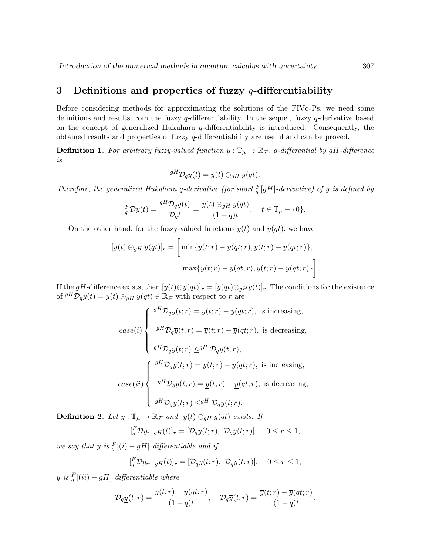## <span id="page-4-0"></span>3 Definitions and properties of fuzzy  $q$ -differentiability

Before considering methods for approximating the solutions of the FIVq-Ps, we need some definitions and results from the fuzzy q-differentiability. In the sequel, fuzzy q-derivative based on the concept of generalized Hukuhara  $q$ -differentiability is introduced. Consequently, the obtained results and properties of fuzzy q-differentiability are useful and can be proved.

<span id="page-4-1"></span>**Definition 1.** For arbitrary fuzzy-valued function  $y : \mathbb{T}_{\mu} \to \mathbb{R}_{\mathcal{F}}$ , q-differential by gH-difference is

$$
{}^{gH} \mathcal{D}_q y(t) = y(t) \ominus_{gH} y(qt).
$$

Therefore, the generalized Hukuhara q-derivative (for short  $_{q}^{F}[gH]$ -derivative) of y is defined by

$$
{}_{q}^{F}Dy(t) = \frac{{}_{g}H\mathcal{D}_qy(t)}{\mathcal{D}_q t} = \frac{y(t) \ominus_{g}y(t)}{(1-q)t}, \quad t \in \mathbb{T}_{\mu} - \{0\}.
$$

On the other hand, for the fuzzy-valued functions  $y(t)$  and  $y(qt)$ , we have

$$
[y(t) \ominus_{gH} y(qt)]_r = \left[ \min\{ \underline{y}(t;r) - \underline{y}(qt;r), \overline{y}(t;r) - \overline{y}(qt;r) \},\right]
$$

$$
\max\{ \underline{y}(t;r) - \underline{y}(qt;r), \overline{y}(t;r) - \overline{y}(qt;r) \} \right],
$$

If the gH-difference exists, then  $[y(t)\ominus y(qt)]_r = [y(qt)\ominus_{gH}y(t)]_r$ . The conditions for the existence of  ${}^{gH}\mathcal{D}_q y(t) = y(t) \ominus_{gH} y(qt) \in \mathbb{R}_{\mathcal{F}}$  with respect to r are

$$
case(i) \begin{cases} \n\begin{aligned}\n\frac{gH \mathcal{D}_q \underline{y}(t;r) = \underline{y}(t;r) - \underline{y}(qt;r), \text{ is increasing,} \\
\frac{gH \mathcal{D}_q \overline{y}(t;r) = \overline{y}(t;r) - \overline{y}(qt;r), \text{ is decreasing,}}{\underline{y}H \mathcal{D}_q \underline{y}(t;r) \leq \underline{y}H \mathcal{D}_q \overline{y}(t;r),} \\
\frac{gH \mathcal{D}_q \underline{y}(t;r) = \overline{y}(t;r) - \overline{y}(qt;r), \text{ is increasing,}}{\underline{y}H \mathcal{D}_q \overline{y}(t;r) = \underline{y}(t;r) - \underline{y}(qt;r), \text{ is decreasing,}} \\
\frac{gH \mathcal{D}_q \underline{y}(t;r) = \underline{y}(t;r) - \underline{y}(qt;r), \text{ is decreasing,}}{\underline{y}H \mathcal{D}_q \underline{y}(t;r) \leq \underline{y}H \mathcal{D}_q \overline{y}(t;r).\n\end{aligned}\n\end{cases}
$$

<span id="page-4-2"></span>**Definition 2.** Let  $y : \mathbb{T}_{\mu} \to \mathbb{R}_{\mathcal{F}}$  and  $y(t) \ominus_{gH} y(qt)$  exists. If

$$
[{}_{q}^{F} \mathcal{D}y_{i-gH}(t)]_{r} = [\mathcal{D}_{q}\underline{y}(t;r), \ \mathcal{D}_{q}\overline{y}(t;r)], \quad 0 \leq r \leq 1,
$$

we say that y is  $\frac{F}{q}[(i) - gH]$ -differentiable and if

$$
[{}_{q}^{F} \mathcal{D}y_{ii-gH}(t)]_{r} = [\mathcal{D}_{q}\overline{y}(t;r), \ \mathcal{D}_{q}\underline{y}(t;r)], \quad 0 \leq r \leq 1,
$$

 $y$  is  $\frac{F}{q}[(ii) - gH]$ -differentiable where

$$
\mathcal{D}_q \underline{y}(t;r) = \frac{\underline{y}(t;r) - \underline{y}(qt;r)}{(1-q)t}, \quad \mathcal{D}_q \overline{y}(t;r) = \frac{\overline{y}(t;r) - \overline{y}(qt;r)}{(1-q)t}.
$$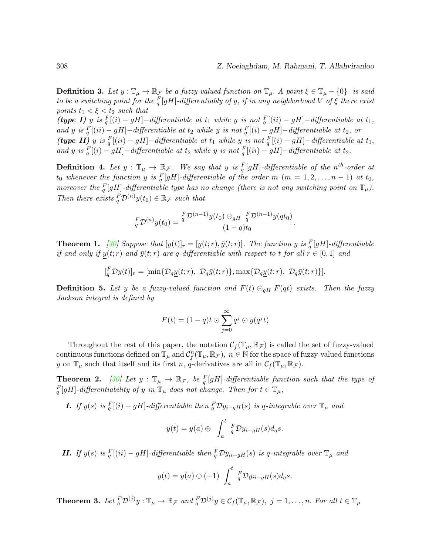<span id="page-5-2"></span>**Definition 3.** Let  $y : \mathbb{T}_{\mu} \to \mathbb{R}_{\mathcal{F}}$  be a fuzzy-valued function on  $\mathbb{T}_{\mu}$ . A point  $\xi \in \mathbb{T}_{\mu} - \{0\}$  is said to be a switching point for the  ${}^F_q[gH]$ -differentiably of y, if in any neighborhood V of  $\xi$  there exist points  $t_1 < \xi < t_2$  such that

(type I) y is  $_q^F[(i) - gH] -$ differentiable at  $t_1$  while y is not  $_q^F[(ii) - gH] -$ differentiable at  $t_1$ , and y is  $\frac{F}{q}[(ii) - gH] -$ differentiable at  $t_2$  while y is not  $\frac{F}{q}[(i) - gH] -$ differentiable at  $t_2$ , or (type II) y is  $\frac{F}{q}[(ii) - gH] -$ differentiable at  $t_1$  while y is not  $\frac{F}{q}[(i) - gH] -$ differentiable at  $t_1$ , and y is  $_{q}^{F}[(i) - gH] -$ differentiable at  $t_2$  while y is not  $_{q}^{F}[(ii) - gH] -$ differentiable at  $t_2$ .

**Definition 4.** Let  $y : \mathbb{T}_{\mu} \to \mathbb{R}_{\mathcal{F}}$ . We say that y is  $_{q}^{F}[gH]$ -differentiable of the n<sup>th</sup>-order at  $t_0$  whenever the function y is  $\frac{F}{q}[gH]$ -differentiable of the order  $m$   $(m = 1, 2, \ldots, n - 1)$  at  $t_0$ , moreover the  $\frac{F}{q}[gH]$ -differentiable type has no change (there is not any switching point on  $\mathbb{T}_{\mu}$ ). Then there exists  ${}^F_7\mathcal{D}^{(n)}y(t_0) \in \mathbb{R}_{\mathcal{F}}$  such that

$$
{}_{q}^{F} \mathcal{D}^{(n)} y(t_0) = \frac{{}^{F}_{q} \mathcal{D}^{(n-1)} y(t_0) \ominus_{gH} \frac{F}{q} \mathcal{D}^{(n-1)} y(qt_0)}{(1-q)t_0}.
$$

**Theorem 1.** [\[30\]](#page-19-6) Suppose that  $[y(t)]_r = [\underline{y}(t; r), \overline{y}(t; r)]$ . The function y is  ${}_{q}^{F}[gH]$ -differentiable if and only if  $y(t; r)$  and  $\bar{y}(t; r)$  are q-differentiable with respect to t for all  $r \in [0, 1]$  and

$$
[{}^F_q \mathcal{D}y(t)]_r = [\min\{\mathcal{D}_q\underline{y}(t;r), \ \mathcal{D}_q\bar{y}(t;r)\}, \max\{\mathcal{D}_q\underline{y}(t;r), \ \mathcal{D}_q\bar{y}(t;r)\}].
$$

**Definition 5.** Let y be a fuzzy-valued function and  $F(t) \ominus_{gH} F(qt)$  exists. Then the fuzzy Jackson integral is defined by

$$
F(t) = (1-q)t \odot \sum_{j=0}^{\infty} q^j \odot y(q^j t)
$$

Throughout the rest of this paper, the notation  $\mathcal{C}_f(\mathbb{T}_{\mu}, \mathbb{R}_{\mathcal{F}})$  is called the set of fuzzy-valued continuous functions defined on  $\mathbb{T}_{\mu}$  and  $\mathcal{C}_{f}^{n}(\mathbb{T}_{\mu}, \mathbb{R}_{\mathcal{F}})$ ,  $n \in \mathbb{N}$  for the space of fuzzy-valued functions y on  $\mathbb{T}_{\mu}$  such that itself and its first n, q-derivatives are all in  $\mathcal{C}_f(\mathbb{T}_{\mu}, \mathbb{R}_{\mathcal{F}})$ .

<span id="page-5-0"></span>**Theorem 2.** [\[30\]](#page-19-6) Let  $y : \mathbb{T}_{\mu} \to \mathbb{R}_{\mathcal{F}}$ , be  $\frac{F}{q}[gH]$ -differentiable function such that the type of  $\int_q^F[gH]$ -differentiability of y in  $\mathbb{T}_\mu$  does not change. Then for  $t \in \mathbb{T}_\mu$ ,

**I.** If  $y(s)$  is  $\frac{F}{q}[(i) - gH]$ -differentiable then  $\frac{F}{q}Dy_{i-gH}(s)$  is q-integrable over  $\mathbb{T}_{\mu}$  and

$$
y(t) = y(a) \oplus \int_a^t \, _qF \mathcal{D}y_{i-gH}(s)d_qs.
$$

**II.** If  $y(s)$  is  $\frac{F}{q}[(ii) - gH]$ -differentiable then  $\frac{F}{q}Dy_{ii-gH}(s)$  is q-integrable over  $\mathbb{T}_{\mu}$  and

$$
y(t) = y(a) \ominus (-1) \int_a^t \frac{F}{q} \mathcal{D}y_{ii-gH}(s) d_q s.
$$

<span id="page-5-1"></span>**Theorem 3.** Let  ${}_{q}^{F}D^{(j)}y: \mathbb{T}_{\mu} \to \mathbb{R}_{\mathcal{F}}$  and  ${}_{q}^{F}D^{(j)}y \in \mathcal{C}_{f}(\mathbb{T}_{\mu}, \mathbb{R}_{\mathcal{F}})$ ,  $j = 1, \ldots, n$ . For all  $t \in \mathbb{T}_{\mu}$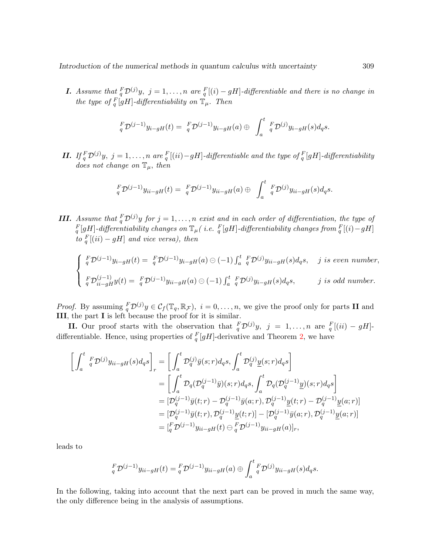**I.** Assume that  ${}_{q}^{F}D^{(j)}y$ ,  $j = 1, ..., n$  are  ${}_{q}^{F}[(i) - gH]$ -differentiable and there is no change in the type of  $\int_q^{\Gamma}[gH]$ -differentiability on  $\mathbb{T}_{\mu}$ . Then

$$
{}_{q}^{F} \mathcal{D}^{(j-1)} y_{i-gH}(t) = {}_{q}^{F} \mathcal{D}^{(j-1)} y_{i-gH}(a) \oplus \int_{a}^{t} {}_{q}^{F} \mathcal{D}^{(j)} y_{i-gH}(s) d_{q}s.
$$

**II.** If  ${}_{q}^{F}D^{(j)}y$ ,  $j = 1, ..., n$  are  ${}_{q}^{F}[(ii) - gH]$ -differentiable and the type of  ${}_{q}^{F}[gH]$ -differentiability does not change on  $\mathbb{T}_{\mu}$ , then

$$
{}_{q}^{F}\mathcal{D}^{(j-1)}y_{ii-gH}(t) = {}_{q}^{F}\mathcal{D}^{(j-1)}y_{ii-gH}(a) \oplus \int_{a}^{t} {}_{q}^{F}\mathcal{D}^{(j)}y_{ii-gH}(s)d_{q}s.
$$

**III.** Assume that  ${}^F_7\mathcal{D}^{(j)}y$  for  $j = 1, ..., n$  exist and in each order of differentiation, the type of  $\frac{F}{q}[gH]$ -differentiability changes on  $\mathbb{T}_{\mu}$  (i.e.  $\frac{F}{q}[gH]$ -differentiability changes from  $\frac{F}{q}[(i)-gH]$ to  $_{q}^{F}[(ii) - gH]$  and vice versa), then

$$
\begin{cases}\n\frac{F}{q}\mathcal{D}^{(j-1)}y_{i-gH}(t) = \frac{F}{q}\mathcal{D}^{(j-1)}y_{i-gH}(a) \ominus (-1) \int_a^t \frac{F}{q}\mathcal{D}^{(j)}y_{ii-gH}(s)d_qs, \quad j \text{ is even number,} \\
\frac{F}{q}\mathcal{D}^{(j-1)}_{ii-gH}y(t) = \frac{F}{q}\mathcal{D}^{(j-1)}y_{ii-gH}(a) \ominus (-1) \int_a^t \frac{F}{q}\mathcal{D}^{(j)}y_{i-gH}(s)d_qs, \quad j \text{ is odd number.}\n\end{cases}
$$

*Proof.* By assuming  ${}^F_T\mathcal{D}^{(j)}y \in \mathcal{C}_f(\mathbb{T}_q, \mathbb{R}_\mathcal{F}), i = 0, \ldots, n$ , we give the proof only for parts **II** and III, the part I is left because the proof for it is similar.

**II.** Our proof starts with the observation that  ${}^F_q\mathcal{D}^{(j)}y$ ,  $j = 1, ..., n$  are  ${}^F_q[(ii) - gH]$ differentiable. Hence, using properties of  $_q^F[gH]$ -derivative and Theorem [2,](#page-5-0) we have

$$
\begin{split}\n\left[\int_{a}^{t} \, \,_{q}^{F} \mathcal{D}^{(j)} y_{ii-gH}(s) d_{q}s\right]_{r} &= \left[\int_{a}^{t} \mathcal{D}_{q}^{(j)} \bar{y}(s;r) d_{q}s, \int_{a}^{t} \mathcal{D}_{q}^{(j)} \underline{y}(s;r) d_{q}s\right] \\
&= \left[\int_{a}^{t} \mathcal{D}_{q}(\mathcal{D}_{q}^{(j-1)} \bar{y})(s;r) d_{q}s, \int_{a}^{t} \mathcal{D}_{q}(\mathcal{D}_{q}^{(j-1)} \underline{y})(s;r) d_{q}s\right] \\
&= \left[\mathcal{D}_{q}^{(j-1)} \bar{y}(t;r) - \mathcal{D}_{q}^{(j-1)} \bar{y}(a;r), \mathcal{D}_{q}^{(j-1)} \underline{y}(t;r) - \mathcal{D}_{q}^{(j-1)} \underline{y}(a;r)\right] \\
&= \left[\mathcal{D}_{q}^{(j-1)} \bar{y}(t;r), \mathcal{D}_{q}^{(j-1)} \underline{y}(t;r)\right] - \left[\mathcal{D}_{q}^{(j-1)} \bar{y}(a;r), \mathcal{D}_{q}^{(j-1)} \underline{y}(a;r)\right] \\
&= \left[\begin{matrix} {}_{q}^{F} \mathcal{D}^{(j-1)} y_{ii-gH}(t) \end{matrix} \right] \oplus {}_{q}^{F} \mathcal{D}^{(j-1)} y_{ii-gH}(a) \right]_{r},\n\end{split}
$$

leads to

$$
{}_{q}^{F}\mathcal{D}^{(j-1)}y_{ii-gH}(t) = {}_{q}^{F}\mathcal{D}^{(j-1)}y_{ii-gH}(a) \oplus \int_{a}^{t} {}_{q}^{F}\mathcal{D}^{(j)}y_{ii-gH}(s)d_{q}s.
$$

In the following, taking into account that the next part can be proved in much the same way, the only difference being in the analysis of assumptions.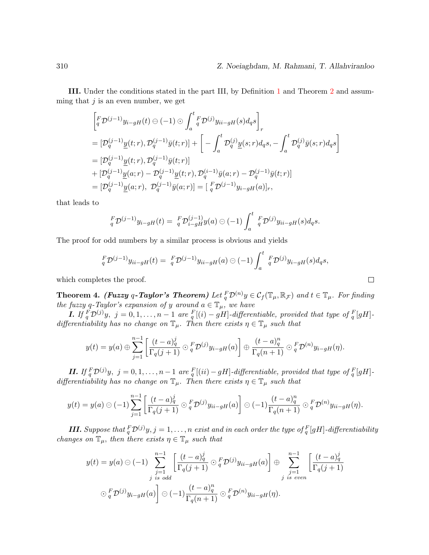III. Under the conditions stated in the part III, by Definition [1](#page-4-1) and Theorem [2](#page-5-0) and assumming that  $j$  is an even number, we get

$$
\begin{aligned}\n&\left[\,{}_{q}^{F}\mathcal{D}^{(j-1)}y_{i-gH}(t)\ominus(-1)\odot\int_{a}^{t}\,{}_{q}^{F}\mathcal{D}^{(j)}y_{ii-gH}(s)d_{q}s\,\right]_{r} \\
&=[\mathcal{D}^{(j-1)}_{q}\underline{y}(t;r),\mathcal{D}^{(j-1)}_{q}\bar{y}(t;r)] + \left[-\int_{a}^{t}\mathcal{D}^{(j)}_{q}\underline{y}(s;r)d_{q}s,-\int_{a}^{t}\mathcal{D}^{(j)}_{q}\bar{y}(s;r)d_{q}s\,\right] \\
&=[\mathcal{D}^{(j-1)}_{q}\underline{y}(t;r),\mathcal{D}^{(j-1)}_{q}\bar{y}(t;r)] \\
&+[\mathcal{D}^{(j-1)}_{q}\underline{y}(a;r)-\mathcal{D}^{(j-1)}_{q}\underline{y}(t;r),\mathcal{D}^{(i-1)}_{q}\bar{y}(a;r)-\mathcal{D}^{(j-1)}_{q}\bar{y}(t;r)] \\
&=[\mathcal{D}^{(j-1)}_{q}\underline{y}(a;r),\ \mathcal{D}^{(j-1)}_{q}\bar{y}(a;r)]=[\,{}_{q}^{F}\mathcal{D}^{(j-1)}y_{i-gH}(a)]_{r},\n\end{aligned}
$$

that leads to

$$
{}_{q}^{F} \mathcal{D}^{(j-1)} y_{i-gH}(t) = {}_{q}^{F} \mathcal{D}^{(j-1)}_{i-gH} y(a) \ominus (-1) \int_{a}^{t} {}_{q}^{F} \mathcal{D}^{(j)} y_{ii-gH}(s) d_{q} s.
$$

The proof for odd numbers by a similar process is obvious and yields

$$
{}_{q}^{F} \mathcal{D}^{(j-1)} y_{ii-gH}(t) = {}_{q}^{F} \mathcal{D}^{(j-1)} y_{ii-gH}(a) \ominus (-1) \int_{a}^{t} {}_{q}^{F} \mathcal{D}^{(j)} y_{i-gH}(s) d_{q}s,
$$

which completes the proof.

**Theorem 4.** (Fuzzy q-Taylor's Theorem) Let  ${}^F_q\mathcal{D}^{(n)}y \in C_f(\mathbb{T}_{\mu}, \mathbb{R}_{\mathcal{F}})$  and  $t \in \mathbb{T}_{\mu}$ . For finding the fuzzy q-Taylor's expansion of y around  $a \in \mathbb{T}_{\mu}$ , we have

**I.** If  ${}_{q}^{F}D^{(j)}y$ ,  $j = 0, 1, ..., n-1$  are  ${}_{q}^{F}[(i) - gH]$ -differentiable, provided that type of  ${}_{q}^{F}[gH]$ differentiability has no change on  $\mathbb{T}_{\mu}$ . Then there exists  $\eta \in \mathbb{T}_{\mu}$  such that

$$
y(t) = y(a) \oplus \sum_{j=1}^{n-1} \left[ \frac{(t-a)_q^j}{\Gamma_q(j+1)} \odot_q^F \mathcal{D}^{(j)} y_{i-gH}(a) \right] \oplus \frac{(t-a)_q^n}{\Gamma_q(n+1)} \odot_q^F \mathcal{D}^{(n)} y_{i-gH}(\eta).
$$

**II.** If  $_q^F\mathcal{D}^{(j)}y$ ,  $j = 0, 1, ..., n-1$  are  $_q^F[(ii) - gH]$ -differentiable, provided that type of  $_q^F[gH]$ differentiability has no change on  $\mathbb{T}_{\mu}$ . Then there exists  $\eta \in \mathbb{T}_{\mu}$  such that

$$
y(t) = y(a) \ominus (-1) \sum_{j=1}^{n-1} \left[ \frac{(t-a)_q^j}{\Gamma_q(j+1)} \odot_q^F \mathcal{D}^{(j)} y_{ii-gH}(a) \right] \ominus (-1) \frac{(t-a)_q^n}{\Gamma_q(n+1)} \odot_q^F \mathcal{D}^{(n)} y_{ii-gH}(\eta).
$$

**III.** Suppose that  ${}^F_q\mathcal{D}^{(j)}y, j = 1, \ldots, n$  exist and in each order the type of  ${}^F_q[gH]$ -differentiability changes on  $\mathbb{T}_{\mu}$ , then there exists  $\eta \in \mathbb{T}_{\mu}$  such that

$$
y(t) = y(a) \ominus (-1) \sum_{\substack{j=1 \ j \text{ is odd}}}^{n-1} \left[ \frac{(t-a)_q^j}{\Gamma_q(j+1)} \ominus_q^F \mathcal{D}^{(j)} y_{ii-gH}(a) \right] \oplus \sum_{\substack{j=1 \ j \text{ is even}}}^{n-1} \left[ \frac{(t-a)_q^j}{\Gamma_q(j+1)} \right]
$$
  

$$
\bigcirc_q^F \mathcal{D}^{(j)} y_{i-gH}(a) \bigg] \ominus (-1) \frac{(t-a)_q^n}{\Gamma_q(n+1)} \ominus_q^F \mathcal{D}^{(n)} y_{ii-gH}(\eta).
$$

 $\Box$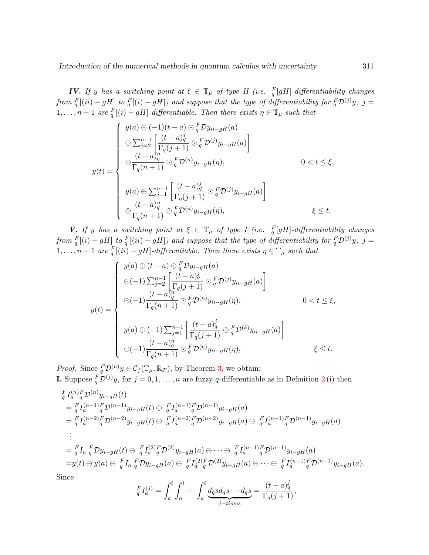**IV.** If y has a switching point at  $\xi \in \mathbb{T}_{\mu}$  of type II (i.e.  $\frac{F}{q}[gH]$ -differentiability changes from  $_{q}^{F}[(ii) - gH]$  to  $_{q}^{F}[(i) - gH]$ ) and suppose that the type of differentiability for  $_{q}^{F}D^{(j)}y$ , j =  $1, \ldots, n-1$  are  $_{q}^{F}[(i) - gH]$ -differentiable. Then there exists  $\eta \in \mathbb{T}_{\mu}$  such that

$$
y(t) = \begin{cases} y(a) \ominus (-1)(t-a) \ominus_q^F \mathcal{D} y_{ii-gH}(a) \\ \oplus \sum_{j=2}^{n-1} \left[ \frac{(t-a)_q^j}{\Gamma_q(j+1)} \odot_q^F \mathcal{D}^{(j)} y_{i-gH}(a) \right] \\ \oplus \frac{(t-a)_q^n}{\Gamma_q(n+1)} \odot_q^F \mathcal{D}^{(n)} y_{i-gH}(\eta), & 0 < t \le \xi, \\ y(a) \oplus \sum_{j=1}^{n-1} \left[ \frac{(t-a)_q^j}{\Gamma_q(j+1)} \odot_q^F \mathcal{D}^{(j)} y_{i-gH}(a) \right] \\ \oplus \frac{(t-a)_q^n}{\Gamma_q(n+1)} \odot_q^F \mathcal{D}^{(n)} y_{i-gH}(\eta), & \xi \le t. \end{cases}
$$

**V.** If y has a switching point at  $\xi \in \mathbb{T}_{\mu}$  of type I (i.e.  $\frac{F}{q}[gH]$ -differentiability changes from  $_{q}^{F}[(i) - gH]$  to  $_{q}^{F}[(ii) - gH]$ ) and suppose that the type of differentiability for  $_{q}^{F}D^{(j)}y$ , j =  $1, \ldots, n-1$  are  $\frac{F}{q}[(ii) - gH]$ -differentiable. Then there exists  $\eta \in \mathbb{T}_{\mu}$  such that

$$
y(t) = \begin{cases} y(a) \oplus (t-a) \odot_{q}^{F} \mathcal{D}y_{i-gH}(a) \\ \ominus (-1) \sum_{j=2}^{n-1} \left[ \frac{(t-a)_{q}^{j}}{\Gamma_{q}(j+1)} \odot_{q}^{F} \mathcal{D}^{(j)} y_{ii-gH}(a) \right] \\ \ominus (-1) \frac{(t-a)_{q}^{n}}{\Gamma_{q}(n+1)} \odot_{q}^{F} \mathcal{D}^{(n)} y_{ii-gH}(\eta), & 0 < t \leq \xi, \\ y(a) \odot (-1) \sum_{j=1}^{n-1} \left[ \frac{(t-a)_{q}^{j}}{\Gamma_{q}(j+1)} \odot_{q}^{F} \mathcal{D}^{(k)} y_{ii-gH}(a) \right] \\ \ominus (-1) \frac{(t-a)_{q}^{n}}{\Gamma_{q}(n+1)} \odot_{q}^{F} \mathcal{D}^{(n)} y_{ii-gH}(\eta), & \xi \leq t. \end{cases}
$$

*Proof.* Since  ${}_{q}^{F} \mathcal{D}^{(n)} y \in \mathcal{C}_f(\mathbb{T}_{\mu}, \mathbb{R}_{\mathcal{F}})$ , by Theorem [3,](#page-5-1) we obtain:

**I.** Suppose  ${}^F_q\mathcal{D}^{(j)}y$ , for  $j = 0, 1, ..., n$  are fuzzy q-differentiable as in Definition [2](#page-4-2)(i) then

$$
F_{q}^{F}I_{a}^{(n)}{}_{q}^{F}D^{(n)}y_{i-gH}(t)
$$
\n
$$
= {}_{q}^{F}I_{a}^{(n-1)}{}_{q}^{F}D^{(n-1)}y_{i-gH}(t) \ominus {}_{q}^{F}I_{a}^{(n-1)}{}_{q}^{F}D^{(n-1)}y_{i-gH}(a)
$$
\n
$$
= {}_{q}^{F}I_{a}^{(n-2)}{}_{q}^{F}D^{(n-2)}y_{i-gH}(t) \ominus {}_{q}^{F}I_{a}^{(n-2)}{}_{q}^{F}D^{(n-2)}y_{i-gH}(a) \ominus {}_{q}^{F}I_{a}^{(n-1)}{}_{q}^{F}D^{(n-1)}y_{i-gH}(a)
$$
\n
$$
\vdots
$$
\n
$$
= {}_{q}^{F}I_{a} {}_{q}^{F}Dy_{i-gH}(t) \ominus {}_{q}^{F}I_{a}^{(2)}{}_{q}^{F}D^{(2)}y_{i-gH}(a) \ominus \cdots \ominus {}_{q}^{F}I_{a}^{(n-1)}{}_{q}^{F}D^{(n-1)}y_{i-gH}(a)
$$
\n
$$
= y(t) \ominus y(a) \ominus {}_{q}^{F}I_{a} {}_{q}^{F}Dy_{i-gH}(a) \ominus {}_{q}^{F}I_{a}^{(2)}{}_{q}^{F}D^{(2)}y_{i-gH}(a) \ominus \cdots \ominus {}_{q}^{F}I_{a}^{(n-1)}{}_{q}^{F}D^{(n-1)}y_{i-gH}(a).
$$

Since

$$
\, _q^F I_a^{(j)} = \int_a^t \int_a^t \cdots \int_a^t \underbrace{d_q s d_q s \cdots d_q s}_{j-times} = \frac{(t-a)_q^j}{\Gamma_q(j+1)},
$$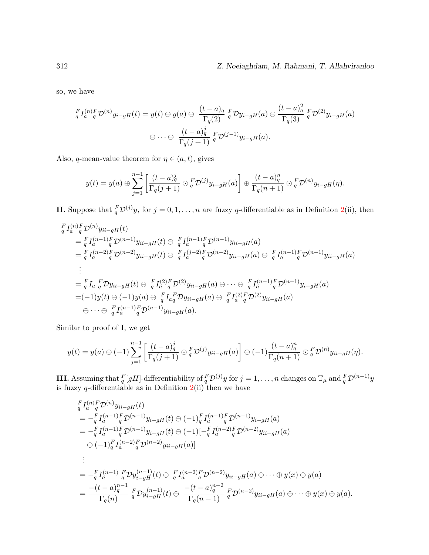so, we have

$$
\begin{aligned}\nF_{q}I_{a}^{(n)}{}_{q}^{F}\mathcal{D}^{(n)}y_{i-gH}(t)&=y(t)\ominus y(a)\ominus\,\frac{(t-a)_{q}}{\Gamma_{q}(2)}\,q\,F\mathcal{D}y_{i-gH}(a)\ominus\,\frac{(t-a)_{q}^{2}}{\Gamma_{q}(3)}\,q\,F\mathcal{D}^{(2)}y_{i-gH}(a)\\
&\ominus\,\cdots\ominus\,\frac{(t-a)_{q}^{j}}{\Gamma_{q}(j+1)}\,q\,F\mathcal{D}^{(j-1)}y_{i-gH}(a).\n\end{aligned}
$$

Also, q-mean-value theorem for  $\eta \in (a, t)$ , gives

$$
y(t) = y(a) \oplus \sum_{j=1}^{n-1} \left[ \frac{(t-a)_q^j}{\Gamma_q(j+1)} \odot_q F \mathcal{D}^{(j)} y_{i-gH}(a) \right] \oplus \frac{(t-a)_q^n}{\Gamma_q(n+1)} \odot_q F \mathcal{D}^{(n)} y_{i-gH}(\eta).
$$

**II.** Suppose that  ${}^F_q\mathcal{D}^{(j)}y$ , for  $j = 0, 1, ..., n$  are fuzzy q-differentiable as in Definition [2\(](#page-4-2)ii), then

$$
\begin{split}\n&= \,^F_I \int_a^{(n)} F \mathcal{D}^{(n)} y_{ii-gH}(t) \\
&= \,^F_I \int_a^{(n-1)} F \mathcal{D}^{(n-1)} y_{ii-gH}(t) \ominus \,^F_I \int_a^{(n-1)} F \mathcal{D}^{(n-1)} y_{ii-gH}(a) \\
&= \,^F_I \int_a^{(n-2)} F \mathcal{D}^{(n-2)} y_{ii-gH}(t) \ominus \,^F_I \int_a^{(j-2)} F \mathcal{D}^{(n-2)} y_{ii-gH}(a) \ominus \,^F_I \int_a^{(n-1)} F \mathcal{D}^{(n-1)} y_{ii-gH}(a) \\
&\vdots \\
&= \,^F_I \int_a^F D y_{ii-gH}(t) \ominus \,^F_I \int_a^{(2)} F \mathcal{D}^{(2)} y_{ii-gH}(a) \ominus \cdots \ominus \,^F_I \int_a^{(n-1)} F \mathcal{D}^{(n-1)} y_{i-gH}(a) \\
&= (-1) y(t) \ominus (-1) y(a) \ominus \,^F_I \int_a^F D y_{ii-gH}(a) \ominus \,^F_I \int_a^{(2)} F \mathcal{D}^{(2)} y_{ii-gH}(a) \\
&\ominus \cdots \ominus \,^F_I \int_a^{(n-1)} F \mathcal{D}^{(n-1)} y_{ii-gH}(a).\n\end{split}
$$

Similar to proof of I, we get

$$
y(t) = y(a) \ominus (-1) \sum_{j=1}^{n-1} \left[ \frac{(t-a)_q^j}{\Gamma_q(j+1)} \odot_q F \mathcal{D}^{(j)} y_{ii-gH}(a) \right] \ominus (-1) \frac{(t-a)_q^n}{\Gamma_q(n+1)} \odot_q F \mathcal{D}^{(n)} y_{ii-gH}(\eta).
$$

**III.** Assuming that  $\frac{F}{q}[gH]$ -differentiability of  $\frac{F}{q}\mathcal{D}^{(j)}y$  for  $j=1,\ldots,n$  changes on  $\mathbb{T}_{\mu}$  and  $\frac{F}{q}\mathcal{D}^{(n-1)}y$ is fuzzy  $q$ -differentiable as in Definition  $2(i)$  $2(i)$  then we have

$$
\begin{split}\n&= \frac{F}{q} I_a^{(n)}{}^F \mathcal{D}^{(n)} y_{ii-gH}(t) \\
&= -\frac{F}{q} I_a^{(n-1)}{}^F \mathcal{D}^{(n-1)} y_{i-gH}(t) \ominus (-1)^F I_a^{(n-1)}{}^F \mathcal{D}^{(n-1)} y_{i-gH}(a) \\
&= -\frac{F}{q} I_a^{(n-1)}{}^F \mathcal{D}^{(n-1)} y_{i-gH}(t) \ominus (-1)[-\frac{F}{q} I_a^{(n-2)}{}^F \mathcal{D}^{(n-2)} y_{ii-gH}(a) \\
&\ominus (-1)^F I_a^{(n-2)}{}^F \mathcal{D}^{(n-2)} y_{ii-gH}(a)] \\
&\vdots \\
&= -\frac{F}{q} I_a^{(n-1)}{}^F \mathcal{D} y_{i-gH}^{(n-1)}(t) \ominus \frac{F}{q} I_a^{(n-2)}{}^F \mathcal{D}^{(n-2)} y_{ii-gH}(a) \oplus \cdots \oplus y(x) \ominus y(a) \\
&= \frac{-(t-a)_q^{n-1}}{\Gamma_q(n)}{}^F \mathcal{D} y_{i-gH}^{(n-1)}(t) \ominus \frac{-(t-a)_q^{n-2}}{\Gamma_q(n-1)}{}^F \mathcal{D}^{(n-2)} y_{ii-gH}(a) \oplus \cdots \oplus y(x) \ominus y(a).\n\end{split}
$$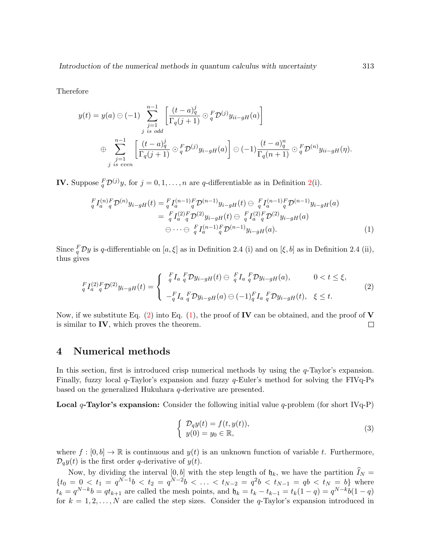Therefore

$$
y(t) = y(a) \odot (-1) \sum_{\substack{j=1 \ j \text{ is odd}}}^{n-1} \left[ \frac{(t-a)_q^j}{\Gamma_q(j+1)} \odot_q^F \mathcal{D}^{(j)} y_{ii-gH}(a) \right]
$$
  

$$
\oplus \sum_{\substack{j=1 \ j \text{ is even}}}^{n-1} \left[ \frac{(t-a)_q^j}{\Gamma_q(j+1)} \odot_q^F \mathcal{D}^{(j)} y_{i-gH}(a) \right] \odot (-1) \frac{(t-a)_q^n}{\Gamma_q(n+1)} \odot_q^F \mathcal{D}^{(n)} y_{ii-gH}(\eta).
$$

**IV.** Suppose  ${}^F_q\mathcal{D}^{(j)}y$ , for  $j = 0, 1, ..., n$  are q-differentiable as in Definition [2\(](#page-4-2)i).

$$
\begin{split} \, _{q}^{F}I_{a}^{(n)}{}_{q}^{F}\mathcal{D}^{(n)}y_{i-gH}(t) &= \, _{q}^{F}I_{a}^{(n-1)}{}_{q}^{F}\mathcal{D}^{(n-1)}y_{i-gH}(t) \ominus \, _{q}^{F}I_{a}^{(n-1)}{}_{q}^{F}\mathcal{D}^{(n-1)}y_{i-gH}(a) \\ &= \, _{q}^{F}I_{a}^{(2)}{}_{q}^{F}\mathcal{D}^{(2)}y_{i-gH}(t) \ominus \, _{q}^{F}I_{a}^{(2)}{}_{q}^{F}\mathcal{D}^{(2)}y_{i-gH}(a) \\ &\ominus \cdots \ominus \, _{q}^{F}I_{a}^{(n-1)}{}_{q}^{F}\mathcal{D}^{(n-1)}y_{i-gH}(a). \end{split} \tag{1}
$$

Since  ${}^F_q\mathcal{D}y$  is q-differentiable on  $[a,\xi]$  as in Definition 2.4 (i) and on  $[\xi,b]$  as in Definition 2.4 (ii), thus gives

$$
{}_{q}^{F}I_{a}^{(2)}{}_{q}^{F}\mathcal{D}^{(2)}y_{i-gH}(t) = \begin{cases} {}_{q}^{F}I_{a} {}_{q}^{F} \mathcal{D}y_{i-gH}(t) \ominus {}_{q}^{F}I_{a} {}_{q}^{F} \mathcal{D}y_{i-gH}(a), & 0 < t \leq \xi, \\ {}_{q}^{F}I_{a} {}_{q}^{F} \mathcal{D}y_{i-gH}(a) \ominus (-1)_{q}^{F}I_{a} {}_{q}^{F} \mathcal{D}y_{i-gH}(t), & \xi \leq t. \end{cases}
$$
(2)

Now, if we substitute Eq.  $(2)$  into Eq.  $(1)$ , the proof of **IV** can be obtained, and the proof of **V** is similar to  $IV$ , which proves the theorem.  $\Box$ 

## 4 Numerical methods

In this section, first is introduced crisp numerical methods by using the  $q$ -Taylor's expansion. Finally, fuzzy local  $q$ -Taylor's expansion and fuzzy  $q$ -Euler's method for solving the FIV $q$ -Ps based on the generalized Hukuhara q-derivative are presented.

**Local q-Taylor's expansion:** Consider the following initial value q-problem (for short IVq-P)

<span id="page-10-2"></span><span id="page-10-1"></span><span id="page-10-0"></span>
$$
\begin{cases}\n\mathcal{D}_q y(t) = f(t, y(t)), \\
y(0) = y_0 \in \mathbb{R},\n\end{cases}
$$
\n(3)

where  $f : [0, b] \to \mathbb{R}$  is continuous and  $y(t)$  is an unknown function of variable t. Furthermore,  $\mathcal{D}_q y(t)$  is the first order q-derivative of  $y(t)$ .

Now, by dividing the interval  $[0, b]$  with the step length of  $\mathfrak{h}_k$ , we have the partition  $I_N =$  $\{t_0 = 0 \lt t_1 = q^{N-1}b \lt t_2 = q^{N-2}b \lt \ldots \lt t_{N-2} = q^2b \lt t_{N-1} = qb \lt t_N = b\}$  where  $t_k = q^{N-k}b = qt_{k+1}$  are called the mesh points, and  $\mathfrak{h}_k = t_k - t_{k-1} = t_k(1-q) = q^{N-k}b(1-q)$ for  $k = 1, 2, ..., N$  are called the step sizes. Consider the q-Taylor's expansion introduced in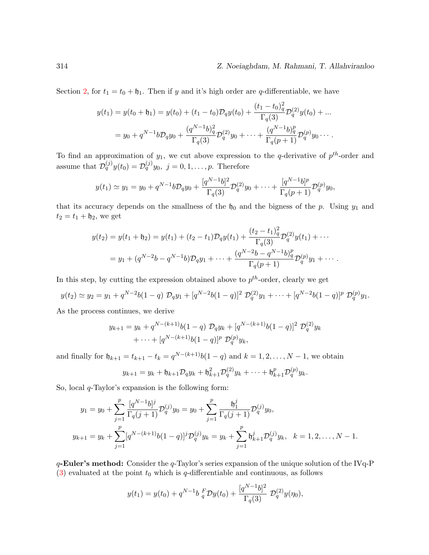#### 314 Z. Noeiaghdam, M. Rahmani, T. Allahviranloo

Section [2,](#page-2-0) for  $t_1 = t_0 + \mathfrak{h}_1$ . Then if y and it's high order are q-differentiable, we have

$$
y(t_1) = y(t_0 + \mathfrak{h}_1) = y(t_0) + (t_1 - t_0) \mathcal{D}_q y(t_0) + \frac{(t_1 - t_0)_q^2}{\Gamma_q(3)} \mathcal{D}_q^{(2)} y(t_0) + \dots
$$
  
=  $y_0 + q^{N-1} b \mathcal{D}_q y_0 + \frac{(q^{N-1} b)_q^2}{\Gamma_q(3)} \mathcal{D}_q^{(2)} y_0 + \dots + \frac{(q^{N-1} b)_q^p}{\Gamma_q(p+1)} \mathcal{D}_q^{(p)} y_0 \dots$ 

To find an approximation of  $y_1$ , we cut above expression to the q-derivative of  $p^{th}$ -order and assume that  $\mathcal{D}_q^{(j)}y(t_0) = \mathcal{D}_q^{(j)}y_0$ ,  $j = 0, 1, \ldots, p$ . Therefore

$$
y(t_1) \simeq y_1 = y_0 + q^{N-1}bD_q y_0 + \frac{[q^{N-1}b]^2}{\Gamma_q(3)}D_q^{(2)}y_0 + \cdots + \frac{[q^{N-1}b]^p}{\Gamma_q(p+1)}D_q^{(p)}y_0,
$$

that its accuracy depends on the smallness of the  $h_0$  and the bigness of the p. Using  $y_1$  and  $t_2 = t_1 + \mathfrak{h}_2$ , we get

$$
y(t_2) = y(t_1 + \mathfrak{h}_2) = y(t_1) + (t_2 - t_1)D_q y(t_1) + \frac{(t_2 - t_1)_q^2}{\Gamma_q(3)} \mathcal{D}_q^{(2)} y(t_1) + \cdots
$$
  
=  $y_1 + (q^{N-2}b - q^{N-1}b)\mathcal{D}_q y_1 + \cdots + \frac{(q^{N-2}b - q^{N-1}b)_q^p}{\Gamma_q(p+1)} \mathcal{D}_q^{(p)} y_1 + \cdots$ 

In this step, by cutting the expression obtained above to  $p^{th}$ -order, clearly we get

$$
y(t_2) \simeq y_2 = y_1 + q^{N-2}b(1-q) \mathcal{D}_q y_1 + [q^{N-2}b(1-q)]^2 \mathcal{D}_q^{(2)} y_1 + \cdots + [q^{N-2}b(1-q)]^p \mathcal{D}_q^{(p)} y_1.
$$

As the process continues, we derive

$$
y_{k+1} = y_k + q^{N-(k+1)}b(1-q) \mathcal{D}_q y_k + [q^{N-(k+1)}b(1-q)]^2 \mathcal{D}_q^{(2)} y_k
$$
  
+ ... +  $[q^{N-(k+1)}b(1-q)]^p \mathcal{D}_q^{(p)} y_k$ ,

and finally for  $\mathfrak{h}_{k+1} = t_{k+1} - t_k = q^{N-(k+1)}b(1-q)$  and  $k = 1, 2, ..., N-1$ , we obtain

$$
y_{k+1} = y_k + \mathfrak{h}_{k+1} \mathcal{D}_q y_k + \mathfrak{h}_{k+1}^2 \mathcal{D}_q^{(2)} y_k + \cdots + \mathfrak{h}_{k+1}^p \mathcal{D}_q^{(p)} y_k.
$$

So, local  $q$ -Taylor's expansion is the following form:

$$
y_1 = y_0 + \sum_{j=1}^p \frac{[q^{N-1}b]^j}{\Gamma_q(j+1)} \mathcal{D}_q^{(j)} y_0 = y_0 + \sum_{j=1}^p \frac{b_1^j}{\Gamma_q(j+1)} \mathcal{D}_q^{(j)} y_0,
$$
  

$$
y_{k+1} = y_k + \sum_{j=1}^p [q^{N-(k+1)}b(1-q)]^j \mathcal{D}_q^{(j)} y_k = y_k + \sum_{j=1}^p b_{k+1}^j \mathcal{D}_q^{(j)} y_k, \quad k = 1, 2, ..., N-1.
$$

 $q$ -Euler's method: Consider the  $q$ -Taylor's series expansion of the unique solution of the IVq-P  $(3)$  evaluated at the point  $t_0$  which is q-differentiable and continuous, as follows

$$
y(t_1) = y(t_0) + q^{N-1}b \, \frac{F}{q} \mathcal{D}y(t_0) + \frac{[q^{N-1}b]^2}{\Gamma_q(3)} \, \mathcal{D}_q^{(2)}y(\eta_0),
$$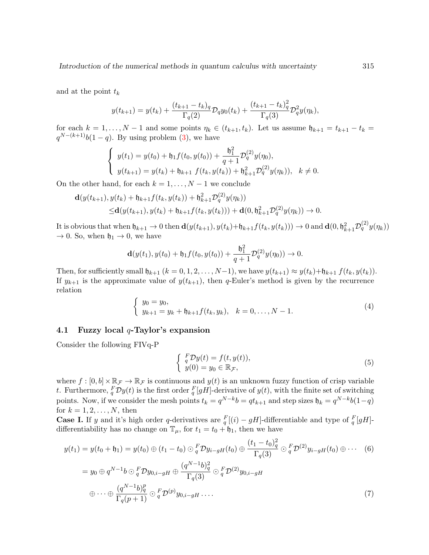and at the point  $t_k$ 

$$
y(t_{k+1}) = y(t_k) + \frac{(t_{k+1} - t_k)_q}{\Gamma_q(2)} \mathcal{D}_q y_0(t_k) + \frac{(t_{k+1} - t_k)_q^2}{\Gamma_q(3)} \mathcal{D}_q^2 y(\eta_k),
$$

for each  $k = 1, \ldots, N - 1$  and some points  $\eta_k \in (t_{k+1}, t_k)$ . Let us assume  $\mathfrak{h}_{k+1} = t_{k+1} - t_k =$  $q^{N-(k+1)}b(1-q)$ . By using problem [\(3\)](#page-10-2), we have

$$
\begin{cases}\ny(t_1) = y(t_0) + \mathfrak{h}_1 f(t_0, y(t_0)) + \frac{\mathfrak{h}_1^2}{q+1} \mathcal{D}_q^{(2)} y(\eta_0), \\
y(t_{k+1}) = y(t_k) + \mathfrak{h}_{k+1} f(t_k, y(t_k)) + \mathfrak{h}_{k+1}^2 \mathcal{D}_q^{(2)} y(\eta_k)), \quad k \neq 0.\n\end{cases}
$$

On the other hand, for each  $k = 1, ..., N - 1$  we conclude

$$
\mathbf{d}(y(t_{k+1}), y(t_k) + \mathfrak{h}_{k+1}f(t_k, y(t_k)) + \mathfrak{h}_{k+1}^2 \mathcal{D}_q^{(2)} y(\eta_k))
$$
  
 
$$
\leq \mathbf{d}(y(t_{k+1}), y(t_k) + \mathfrak{h}_{k+1}f(t_k, y(t_k))) + \mathbf{d}(0, \mathfrak{h}_{k+1}^2 \mathcal{D}_q^{(2)} y(\eta_k)) \to 0.
$$

It is obvious that when  $\mathfrak{h}_{k+1} \to 0$  then  $\mathbf{d}(y(t_{k+1}), y(t_k)+\mathfrak{h}_{k+1}f(t_k, y(t_k))) \to 0$  and  $\mathbf{d}(0, \mathfrak{h}_{k+1}^2 \mathcal{D}_q^{(2)} y(\eta_k))$  $\rightarrow$  0. So, when  $\mathfrak{h}_1 \rightarrow 0$ , we have

$$
\mathbf{d}(y(t_1), y(t_0) + \mathfrak{h}_1 f(t_0, y(t_0)) + \frac{\mathfrak{h}_1^2}{q+1} \mathcal{D}_q^{(2)} y(\eta_0)) \to 0.
$$

Then, for sufficiently small  $\mathfrak{h}_{k+1}$   $(k = 0, 1, 2, \ldots, N-1)$ , we have  $y(t_{k+1}) \approx y(t_k) + \mathfrak{h}_{k+1} f(t_k, y(t_k))$ . If  $y_{k+1}$  is the approximate value of  $y(t_{k+1})$ , then q-Euler's method is given by the recurrence relation

$$
\begin{cases}\ny_0 = y_0, \\
y_{k+1} = y_k + \mathfrak{h}_{k+1} f(t_k, y_k), \quad k = 0, \dots, N-1.\n\end{cases} \tag{4}
$$

#### 4.1 Fuzzy local  $q$ -Taylor's expansion

Consider the following FIVq-P

<span id="page-12-1"></span><span id="page-12-0"></span>
$$
\begin{cases}\nF \mathcal{D}y(t) = f(t, y(t)), \\
y(0) = y_0 \in \mathbb{R}_{\mathcal{F}},\n\end{cases}
$$
\n(5)

where  $f : [0, b] \times \mathbb{R}_{\mathcal{F}} \to \mathbb{R}_{\mathcal{F}}$  is continuous and  $y(t)$  is an unknown fuzzy function of crisp variable t. Furthermore,  ${}^F_q \mathcal{D}y(t)$  is the first order  ${}^F_q[gH]$ -derivative of  $y(t)$ , with the finite set of switching points. Now, if we consider the mesh points  $t_k = q^{N-k}b = qt_{k+1}$  and step sizes  $\mathfrak{h}_k = q^{N-k}b(1-q)$ for  $k = 1, 2, ..., N$ , then

**Case I.** If y and it's high order q-derivatives are  $_{q}^{F}[(i) - gH]$ -differentiable and type of  $_{q}^{F}[gH]$ differentiability has no change on  $\mathbb{T}_{\mu}$ , for  $t_1 = t_0 + \mathfrak{h}_1$ , then we have

$$
y(t_1) = y(t_0 + \mathfrak{h}_1) = y(t_0) \oplus (t_1 - t_0) \odot \frac{F}{q} \mathcal{D} y_{i-gH}(t_0) \oplus \frac{(t_1 - t_0)_q^2}{\Gamma_q(3)} \odot \frac{F}{q} \mathcal{D}^{(2)} y_{i-gH}(t_0) \oplus \cdots \quad (6)
$$
  

$$
= y_0 \oplus q^{N-1} b \odot \frac{F}{q} \mathcal{D} y_{0,i-gH} \oplus \frac{(q^{N-1}b)_q^2}{\Gamma_q(3)} \odot \frac{F}{q} \mathcal{D}^{(2)} y_{0,i-gH}
$$
  

$$
\oplus \cdots \oplus \frac{(q^{N-1}b)_q^p}{\Gamma_q(p+1)} \odot \frac{F}{q} \mathcal{D}^{(p)} y_{0,i-gH} \cdots \qquad (7)
$$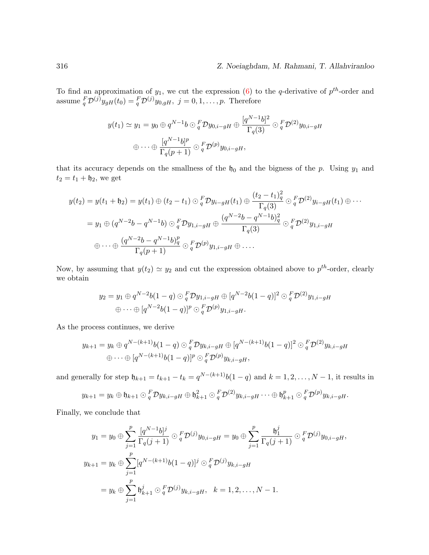#### 316 Z. Noeiaghdam, M. Rahmani, T. Allahviranloo

To find an approximation of  $y_1$ , we cut the expression [\(6\)](#page-12-0) to the q-derivative of  $p^{th}$ -order and assume  ${}^F_q \mathcal{D}^{(j)} y_{gH}(t_0) = {}^F_q \mathcal{D}^{(j)} y_{0,gH}, \ j = 0, 1, \ldots, p.$  Therefore

$$
y(t_1) \simeq y_1 = y_0 \oplus q^{N-1}b \odot \frac{F}{q} \mathcal{D}y_{0,i-gH} \oplus \frac{[q^{N-1}b]^2}{\Gamma_q(3)} \odot \frac{F}{q} \mathcal{D}^{(2)}y_{0,i-gH}
$$

$$
\oplus \cdots \oplus \frac{[q^{N-1}b]^p}{\Gamma_q(p+1)} \odot \frac{F}{q} \mathcal{D}^{(p)}y_{0,i-gH},
$$

that its accuracy depends on the smallness of the  $h_0$  and the bigness of the p. Using  $y_1$  and  $t_2 = t_1 + \mathfrak{h}_2$ , we get

$$
y(t_2) = y(t_1 + \mathfrak{h}_2) = y(t_1) \oplus (t_2 - t_1) \odot \frac{F}{q} \mathcal{D} y_{i-gH}(t_1) \oplus \frac{(t_2 - t_1)_q^2}{\Gamma_q(3)} \odot \frac{F}{q} \mathcal{D}^{(2)} y_{i-gH}(t_1) \oplus \cdots
$$
  
\n
$$
= y_1 \oplus (q^{N-2}b - q^{N-1}b) \odot \frac{F}{q} \mathcal{D} y_{1,i-gH} \oplus \frac{(q^{N-2}b - q^{N-1}b)_q^2}{\Gamma_q(3)} \odot \frac{F}{q} \mathcal{D}^{(2)} y_{1,i-gH}
$$
  
\n
$$
\oplus \cdots \oplus \frac{(q^{N-2}b - q^{N-1}b)_q^p}{\Gamma_q(p+1)} \odot \frac{F}{q} \mathcal{D}^{(p)} y_{1,i-gH} \oplus \cdots
$$

Now, by assuming that  $y(t_2) \simeq y_2$  and cut the expression obtained above to  $p^{th}$ -order, clearly we obtain

$$
y_2 = y_1 \oplus q^{N-2}b(1-q) \odot_q^F \mathcal{D}y_{1,i-gH} \oplus [q^{N-2}b(1-q)]^2 \odot_q^F \mathcal{D}^{(2)}y_{1,i-gH}
$$
  

$$
\oplus \cdots \oplus [q^{N-2}b(1-q)]^p \odot_q^F \mathcal{D}^{(p)}y_{1,i-gH}.
$$

As the process continues, we derive

$$
y_{k+1} = y_k \oplus q^{N-(k+1)}b(1-q) \odot_q^F \mathcal{D}y_{k,i-gH} \oplus [q^{N-(k+1)}b(1-q)]^2 \odot_q^F \mathcal{D}^{(2)}y_{k,i-gH}
$$
  

$$
\oplus \cdots \oplus [q^{N-(k+1)}b(1-q)]^p \odot_q^F \mathcal{D}^{(p)}y_{k,i-gH},
$$

and generally for step  $\mathfrak{h}_{k+1} = t_{k+1} - t_k = q^{N-(k+1)}b(1-q)$  and  $k = 1, 2, ..., N-1$ , it results in

$$
y_{k+1} = y_k \oplus \mathfrak{h}_{k+1} \odot \frac{F}{q} \mathcal{D} y_{k,i-gH} \oplus \mathfrak{h}_{k+1}^2 \odot \frac{F}{q} \mathcal{D}^{(2)} y_{k,i-gH} \cdots \oplus \mathfrak{h}_{k+1}^p \odot \frac{F}{q} \mathcal{D}^{(p)} y_{k,i-gH}.
$$

Finally, we conclude that

$$
y_1 = y_0 \oplus \sum_{j=1}^p \frac{[q^{N-1}b]^j}{\Gamma_q(j+1)} \odot_q^F \mathcal{D}^{(j)} y_{0,i-gH} = y_0 \oplus \sum_{j=1}^p \frac{\mathfrak{h}_1^j}{\Gamma_q(j+1)} \odot_q^F \mathcal{D}^{(j)} y_{0,i-gH},
$$
  

$$
y_{k+1} = y_k \oplus \sum_{j=1}^p [q^{N-(k+1)}b(1-q)]^j \odot_q^F \mathcal{D}^{(j)} y_{k,i-gH}
$$
  

$$
= y_k \oplus \sum_{j=1}^p \mathfrak{h}_{k+1}^j \odot_q^F \mathcal{D}^{(j)} y_{k,i-gH}, \quad k = 1, 2, ..., N-1.
$$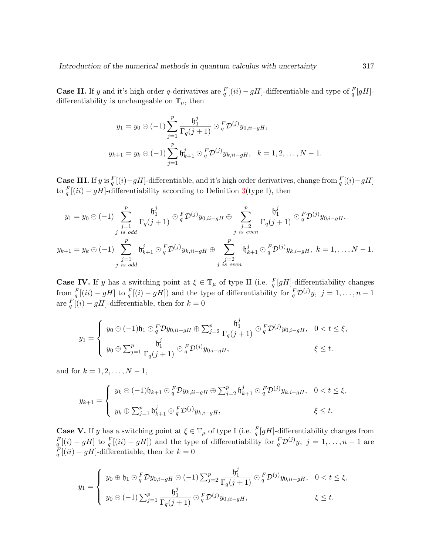**Case II.** If y and it's high order q-derivatives are  $_{q}^{F}[(ii) - gH]$ -differentiable and type of  $_{q}^{F}[gH]$ differentiability is unchangeable on  $\mathbb{T}_{\mu}$ , then

$$
y_1 = y_0 \odot (-1) \sum_{j=1}^p \frac{\mathfrak{h}_1^j}{\Gamma_q(j+1)} \odot_q^F \mathcal{D}^{(j)} y_{0, ii-gH},
$$
  

$$
y_{k+1} = y_k \odot (-1) \sum_{j=1}^p \mathfrak{h}_{k+1}^j \odot_q^F \mathcal{D}^{(j)} y_{k, ii-gH}, \quad k = 1, 2, ..., N-1.
$$

**Case III.** If y is  $_q^F[(i)-gH]$ -differentiable, and it's high order derivatives, change from  $_q^F[(i)-gH]$ to  $\frac{F}{q}[(ii) - gH]$ -differentiability according to Definition [3\(](#page-5-2)type I), then

$$
y_1 = y_0 \odot (-1) \sum_{\substack{j=1 \ j \text{ is odd}}}^{p} \frac{\mathfrak{h}_1^j}{\Gamma_q(j+1)} \odot_q^F \mathcal{D}^{(j)} y_{0, ii-gH} \oplus \sum_{\substack{j=2 \ j \text{ is even}}}^{p} \frac{\mathfrak{h}_1^j}{\Gamma_q(j+1)} \odot_q^F \mathcal{D}^{(j)} y_{0, i-gH},
$$
  

$$
y_{k+1} = y_k \odot (-1) \sum_{\substack{j=1 \ j \text{ is odd}}}^{p} \mathfrak{h}_{k+1}^j \odot_q^F \mathcal{D}^{(j)} y_{k, ii-gH} \oplus \sum_{\substack{j=2 \ j \text{ is even}}}^{p} \mathfrak{h}_{k+1}^j \odot_q^F \mathcal{D}^{(j)} y_{k, i-gH}, k = 1, ..., N-1.
$$

**Case IV.** If y has a switching point at  $\xi \in \mathbb{T}_{\mu}$  of type II (i.e.  $\frac{F}{q}[gH]$ -differentiability changes from  $\frac{F}{q}[(ii) - gH]$  to  $\frac{F}{q}[(i) - gH]$  and the type of differentiability for  $\frac{F}{q}D^{(j)}y$ ,  $j = 1, \ldots, n-1$ are  $_q^F[(i) - gH]$ -differentiable, then for  $k = 0$ 

$$
y_1 = \begin{cases} y_0 \ominus (-1)\mathfrak{h}_1 \odot \frac{F}{q} \mathcal{D}y_{0,ii-gH} \oplus \sum_{j=2}^p \frac{\mathfrak{h}_1^j}{\Gamma_q(j+1)} \odot \frac{F}{q} \mathcal{D}^{(j)}y_{0,i-gH}, & 0 < t \leq \xi, \\ y_0 \oplus \sum_{j=1}^p \frac{\mathfrak{h}_1^j}{\Gamma_q(j+1)} \odot \frac{F}{q} \mathcal{D}^{(j)}y_{0,i-gH}, & \xi \leq t. \end{cases}
$$

and for  $k = 1, 2, ..., N - 1$ ,

$$
y_{k+1} = \begin{cases} y_k \ominus (-1)\mathfrak{h}_{k+1} \ominus \frac{F}{q} \mathcal{D}y_{k,ii-gH} \oplus \sum_{j=2}^p \mathfrak{h}_{k+1}^j \ominus \frac{F}{q} \mathcal{D}^{(j)}y_{k,i-gH}, & 0 < t \leq \xi, \\ y_k \oplus \sum_{j=1}^p \mathfrak{h}_{k+1}^j \ominus \frac{F}{q} \mathcal{D}^{(j)}y_{k,i-gH}, & \xi \leq t. \end{cases}
$$

**Case V.** If y has a switching point at  $\xi \in \mathbb{T}_{\mu}$  of type I (i.e.  $\frac{F}{q}[gH]$ -differentiability changes from  $\frac{F}{q}[(i) - gH]$  to  $\frac{F}{q}[(ii) - gH]$ ) and the type of differentiability for  $\frac{F}{q}\mathcal{D}^{(j)}y$ ,  $j = 1, ..., n - 1$  are  $\frac{F}{q}[(ii) - gH]$ -differentiable, then for  $k = 0$ 

$$
y_1 = \begin{cases} y_0 \oplus \mathfrak{h}_1 \odot \frac{F}{q} \mathcal{D}y_{0,i-gH} \ominus (-1) \sum_{j=2}^p \frac{\mathfrak{h}_1^j}{\Gamma_q(j+1)} \odot \frac{F}{q} \mathcal{D}^{(j)} y_{0,ii-gH}, & 0 < t \leq \xi, \\ y_0 \ominus (-1) \sum_{j=1}^p \frac{\mathfrak{h}_1^j}{\Gamma_q(j+1)} \odot \frac{F}{q} \mathcal{D}^{(j)} y_{0,ii-gH}, & \xi \leq t. \end{cases}
$$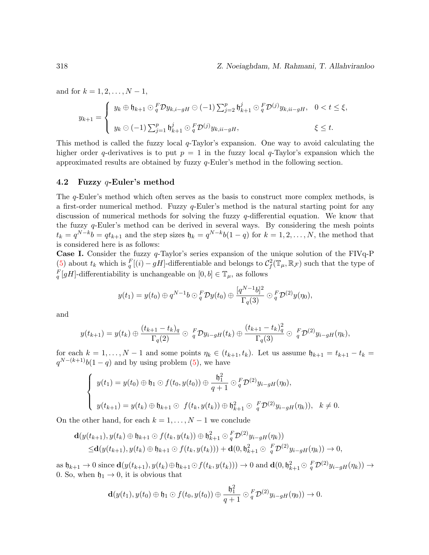and for  $k = 1, 2, ..., N - 1$ ,

$$
y_{k+1} = \begin{cases} y_k \oplus \mathfrak{h}_{k+1} \odot \frac{F}{q} \mathcal{D} y_{k,i-gH} \odot (-1) \sum_{j=2}^p \mathfrak{h}_{k+1}^j \odot \frac{F}{q} \mathcal{D}^{(j)} y_{k,ii-gH}, & 0 < t \leq \xi, \\ y_k \odot (-1) \sum_{j=1}^p \mathfrak{h}_{k+1}^j \odot \frac{F}{q} \mathcal{D}^{(j)} y_{k,ii-gH}, & \xi \leq t. \end{cases}
$$

This method is called the fuzzy local  $q$ -Taylor's expansion. One way to avoid calculating the higher order q-derivatives is to put  $p = 1$  in the fuzzy local q-Taylor's expansion which the approximated results are obtained by fuzzy q-Euler's method in the following section.

#### 4.2 Fuzzy  $q$ -Euler's method

The q-Euler's method which often serves as the basis to construct more complex methods, is a first-order numerical method. Fuzzy  $q$ -Euler's method is the natural starting point for any discussion of numerical methods for solving the fuzzy q-differential equation. We know that the fuzzy  $q$ -Euler's method can be derived in several ways. By considering the mesh points  $t_k = q^{N-k}b = qt_{k+1}$  and the step sizes  $\mathfrak{h}_k = q^{N-k}b(1-q)$  for  $k = 1, 2, ..., N$ , the method that is considered here is as follows:

**Case I.** Consider the fuzzy  $q$ -Taylor's series expansion of the unique solution of the FIVq-P [\(5\)](#page-12-1) about  $t_k$  which is  $\frac{F}{q}[(i) - gH]$ -differentiable and belongs to  $\mathcal{C}_f^2(\mathbb{T}_{\mu}, \mathbb{R}_{\mathcal{F}})$  such that the type of  $_{q}^{F}[gH]$ -differentiability is unchangeable on  $[0, b] \in \mathbb{T}_{\mu}$ , as follows

$$
y(t_1)=y(t_0)\oplus q^{N-1}b\odot{}_q^F\mathcal{D}y(t_0)\oplus\frac{[q^{N-1}b]^2}{\Gamma_q(3)}\odot{}_q^F\mathcal{D}^{(2)}y(\eta_0),
$$

and

$$
y(t_{k+1})=y(t_k)\oplus\frac{(t_{k+1}-t_k)_q}{\Gamma_q(2)}\oplus\ _{q}^{F}\mathcal{D}y_{i-gH}(t_k)\oplus\frac{(t_{k+1}-t_k)_q^2}{\Gamma_q(3)}\oplus\ _{q}^{F}\mathcal{D}^{(2)}y_{i-gH}(\eta_k),
$$

for each  $k = 1, ..., N - 1$  and some points  $\eta_k \in (t_{k+1}, t_k)$ . Let us assume  $\mathfrak{h}_{k+1} = t_{k+1} - t_k =$  $q^{N-(k+1)}b(1-q)$  and by using problem [\(5\)](#page-12-1), we have

$$
\begin{cases}\ny(t_1) = y(t_0) \oplus \mathfrak{h}_1 \odot f(t_0, y(t_0)) \oplus \frac{\mathfrak{h}_1^2}{q+1} \odot \frac{F}{q} \mathcal{D}^{(2)} y_{i-gH}(\eta_0), \\
y(t_{k+1}) = y(t_k) \oplus \mathfrak{h}_{k+1} \odot f(t_k, y(t_k)) \oplus \mathfrak{h}_{k+1}^2 \odot \frac{F}{q} \mathcal{D}^{(2)} y_{i-gH}(\eta_k)), \quad k \neq 0.\n\end{cases}
$$

On the other hand, for each  $k = 1, \ldots, N - 1$  we conclude

$$
\mathbf{d}(y(t_{k+1}), y(t_k) \oplus \mathfrak{h}_{k+1} \odot f(t_k, y(t_k)) \oplus \mathfrak{h}_{k+1}^2 \odot \frac{F}{q} \mathcal{D}^{(2)} y_{i-gH}(\eta_k))
$$
  
 
$$
\leq \mathbf{d}(y(t_{k+1}), y(t_k) \oplus \mathfrak{h}_{k+1} \odot f(t_k, y(t_k))) + \mathbf{d}(0, \mathfrak{h}_{k+1}^2 \odot \frac{F}{q} \mathcal{D}^{(2)} y_{i-gH}(\eta_k)) \to 0,
$$

as  $\mathfrak{h}_{k+1} \to 0$  since  $\mathbf{d}(y(t_{k+1}), y(t_k) \oplus \mathfrak{h}_{k+1} \odot f(t_k, y(t_k))) \to 0$  and  $\mathbf{d}(0, \mathfrak{h}_{k+1}^2 \odot \frac{F}{q} \mathcal{D}^{(2)} y_{i-gH}(\eta_k)) \to$ 0. So, when  $\mathfrak{h}_1 \rightarrow 0$ , it is obvious that

$$
\mathbf{d}(y(t_1),y(t_0)\oplus\mathfrak{h}_1\odot f(t_0,y(t_0))\oplus\frac{\mathfrak{h}_1^2}{q+1}\odot{}_q^F\mathcal{D}^{(2)}y_{i-gH}(\eta_0))\rightarrow0.
$$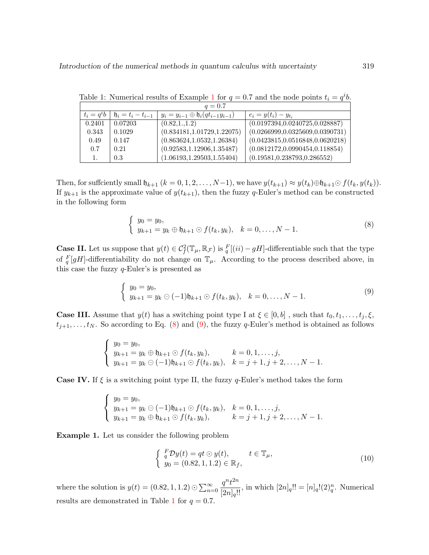|               | $q = 0.7$             |                                                          |                                   |
|---------------|-----------------------|----------------------------------------------------------|-----------------------------------|
| $t_i = q^i b$ | $h_i = t_i - t_{i-1}$ | $y_i = y_{i-1} \oplus \mathfrak{h}_i(q t_{i-1} y_{i-1})$ | $e_i = y(t_i) - y_{t_i}$          |
| 0.2401        | 0.07203               | (0.82, 1., 1.2)                                          | (0.0197394, 0.0240725, 0.028887)  |
| 0.343         | 0.1029                | (0.834181, 1.01729, 1.22075)                             | (0.0266999, 0.0325609, 0.0390731) |
| 0.49          | 0.147                 | (0.863624, 1.0532, 1.26384)                              | (0.0423815, 0.0516848, 0.0620218) |
| 0.7           | 0.21                  | (0.92583, 1.12906, 1.35487)                              | (0.0812172, 0.0990454, 0.118854)  |
| 1.            | 0.3                   | (1.06193, 1.29503, 1.55404)                              | (0.19581, 0.238793, 0.286552)     |

<span id="page-16-3"></span>Table [1](#page-16-0): Numerical results of Example 1 for  $q = 0.7$  and the node points  $t_i = q^i b$ .

Then, for sufficiently small  $\mathfrak{h}_{k+1}$   $(k = 0, 1, 2, \ldots, N-1)$ , we have  $y(t_{k+1}) \approx y(t_k) \oplus \mathfrak{h}_{k+1} \odot f(t_k, y(t_k))$ . If  $y_{k+1}$  is the approximate value of  $y(t_{k+1})$ , then the fuzzy q-Euler's method can be constructed in the following form

<span id="page-16-1"></span>
$$
\begin{cases}\ny_0 = y_0, \\
y_{k+1} = y_k \oplus \mathfrak{h}_{k+1} \odot f(t_k, y_k), \quad k = 0, \dots, N-1.\n\end{cases} \tag{8}
$$

**Case II.** Let us suppose that  $y(t) \in C_f^2(\mathbb{T}_{\mu}, \mathbb{R}_{\mathcal{F}})$  is  ${}^F_q[(ii) - gH]$ -differentiable such that the type of  $\frac{F}{q}[gH]$ -differentiability do not change on  $\mathbb{T}_{\mu}$ . According to the process described above, in this case the fuzzy  $q$ -Euler's is presented as

<span id="page-16-2"></span>
$$
\begin{cases}\ny_0 = y_0, \\
y_{k+1} = y_k \odot (-1)\mathfrak{h}_{k+1} \odot f(t_k, y_k), \quad k = 0, \dots, N-1.\n\end{cases} \tag{9}
$$

**Case III.** Assume that  $y(t)$  has a switching point type I at  $\xi \in [0, b]$ , such that  $t_0, t_1, \ldots, t_j, \xi$ ,  $t_{j+1}, \ldots, t_N$ . So according to Eq. [\(8\)](#page-16-1) and [\(9\)](#page-16-2), the fuzzy q-Euler's method is obtained as follows

$$
\begin{cases}\ny_0 = y_0, \\
y_{k+1} = y_k \oplus \mathfrak{h}_{k+1} \odot f(t_k, y_k), \\
y_{k+1} = y_k \odot (-1)\mathfrak{h}_{k+1} \odot f(t_k, y_k), \quad k = j+1, j+2, \ldots, N-1.\n\end{cases}
$$

**Case IV.** If  $\xi$  is a switching point type II, the fuzzy q-Euler's method takes the form

$$
\begin{cases}\ny_0 = y_0, \\
y_{k+1} = y_k \ominus (-1)\mathfrak{h}_{k+1} \ominus f(t_k, y_k), \quad k = 0, 1, \ldots, j, \\
y_{k+1} = y_k \oplus \mathfrak{h}_{k+1} \ominus f(t_k, y_k), \qquad k = j+1, j+2, \ldots, N-1.\n\end{cases}
$$

<span id="page-16-0"></span>Example 1. Let us consider the following problem

$$
\begin{cases}\nF \mathcal{D}y(t) = qt \odot y(t), & t \in \mathbb{T}_{\mu}, \\
y_0 = (0.82, 1, 1.2) \in \mathbb{R}_f,\n\end{cases}
$$
\n(10)

where the solution is  $y(t) = (0.82, 1, 1.2) \odot \sum_{n=0}^{\infty}$  $\frac{q^n t^{2n}}{[2n]_q!!}$ , in which  $[2n]_q!! = [n]_q!(2)_q^n$ . Numerical results are demonstrated in Table [1](#page-16-3) for  $q = 0.7$ .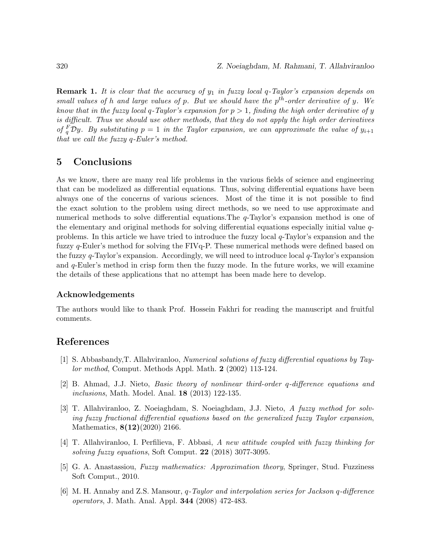**Remark 1.** It is clear that the accuracy of  $y_1$  in fuzzy local  $q$ -Taylor's expansion depends on small values of h and large values of p. But we should have the  $p^{th}$ -order derivative of y. We know that in the fuzzy local q-Taylor's expansion for  $p > 1$ , finding the high order derivative of y is difficult. Thus we should use other methods, that they do not apply the high order derivatives of  ${}^F_qD y$ . By substituting  $p = 1$  in the Taylor expansion, we can approximate the value of  $y_{i+1}$ that we call the fuzzy q-Euler's method.

## 5 Conclusions

As we know, there are many real life problems in the various fields of science and engineering that can be modelized as differential equations. Thus, solving differential equations have been always one of the concerns of various sciences. Most of the time it is not possible to find the exact solution to the problem using direct methods, so we need to use approximate and numerical methods to solve differential equations. The q-Taylor's expansion method is one of the elementary and original methods for solving differential equations especially initial value qproblems. In this article we have tried to introduce the fuzzy local q-Taylor's expansion and the fuzzy q-Euler's method for solving the FIVq-P. These numerical methods were defined based on the fuzzy  $q$ -Taylor's expansion. Accordingly, we will need to introduce local  $q$ -Taylor's expansion and  $q$ -Euler's method in crisp form then the fuzzy mode. In the future works, we will examine the details of these applications that no attempt has been made here to develop.

#### Acknowledgements

The authors would like to thank Prof. Hossein Fakhri for reading the manuscript and fruitful comments.

### References

- <span id="page-17-1"></span>[1] S. Abbasbandy,T. Allahviranloo, Numerical solutions of fuzzy differential equations by Taylor method, Comput. Methods Appl. Math. 2 (2002) 113-124.
- <span id="page-17-0"></span>[2] B. Ahmad, J.J. Nieto, Basic theory of nonlinear third-order q-difference equations and inclusions, Math. Model. Anal. 18 (2013) 122-135.
- <span id="page-17-2"></span>[3] T. Allahviranloo, Z. Noeiaghdam, S. Noeiaghdam, J.J. Nieto, A fuzzy method for solving fuzzy fractional differential equations based on the generalized fuzzy Taylor expansion, Mathematics, **8(12)**(2020) 2166.
- <span id="page-17-3"></span>[4] T. Allahviranloo, I. Perfilieva, F. Abbasi, A new attitude coupled with fuzzy thinking for solving fuzzy equations, Soft Comput. 22 (2018) 3077-3095.
- <span id="page-17-4"></span>[5] G. A. Anastassiou, Fuzzy mathematics: Approximation theory, Springer, Stud. Fuzziness Soft Comput., 2010.
- <span id="page-17-5"></span> $[6]$  M. H. Annaby and Z.S. Mansour, q-Taylor and interpolation series for Jackson q-difference operators, J. Math. Anal. Appl. 344 (2008) 472-483.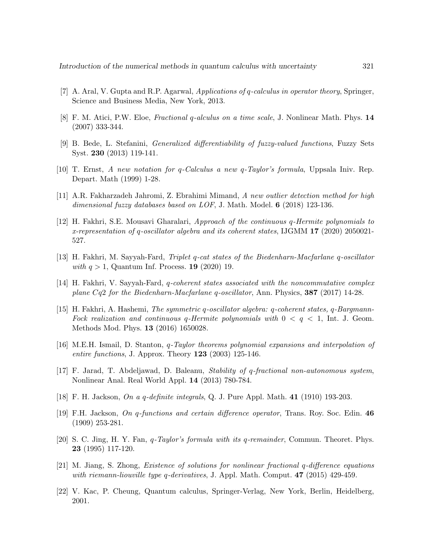- <span id="page-18-1"></span>[7] A. Aral, V. Gupta and R.P. Agarwal, Applications of q-calculus in operator theory, Springer, Science and Business Media, New York, 2013.
- <span id="page-18-12"></span>[8] F. M. Atici, P.W. Eloe, Fractional q-alculus on a time scale, J. Nonlinear Math. Phys. 14 (2007) 333-344.
- <span id="page-18-11"></span>[9] B. Bede, L. Stefanini, Generalized differentiability of fuzzy-valued functions, Fuzzy Sets Syst. 230 (2013) 119-141.
- <span id="page-18-2"></span>[10] T. Ernst, A new notation for q-Calculus a new q-Taylor's formula, Uppsala Iniv. Rep. Depart. Math (1999) 1-28.
- <span id="page-18-7"></span>[11] A.R. Fakharzadeh Jahromi, Z. Ebrahimi Mimand, A new outlier detection method for high dimensional fuzzy databases based on LOF, J. Math. Model. **6** (2018) 123-136.
- <span id="page-18-3"></span>[12] H. Fakhri, S.E. Mousavi Gharalari, Approach of the continuous q-Hermite polynomials to x-representation of q-oscillator algebra and its coherent states, IJGMM 17 (2020) 2050021- 527.
- [13] H. Fakhri, M. Sayyah-Fard, Triplet q-cat states of the Biedenharn-Macfarlane q-oscillator with  $q > 1$ , Quantum Inf. Process. 19 (2020) 19.
- [14] H. Fakhri, V. Sayyah-Fard, q-coherent states associated with the noncommutative complex plane Cq2 for the Biedenharn-Macfarlane q-oscillator, Ann. Physics, 387 (2017) 14-28.
- <span id="page-18-4"></span>[15] H. Fakhri, A. Hashemi, The symmetric q-oscillator algebra: q-coherent states, q-Bargmann-Fock realization and continuous q-Hermite polynomials with  $0 < q < 1$ , Int. J. Geom. Methods Mod. Phys. 13 (2016) 1650028.
- <span id="page-18-10"></span>[16] M.E.H. Ismail, D. Stanton, q-Taylor theorems polynomial expansions and interpolation of entire functions, J. Approx. Theory  $123$  (2003) 125-146.
- <span id="page-18-5"></span>[17] F. Jarad, T. Abdeljawad, D. Baleanu, Stability of q-fractional non-autonomous system, Nonlinear Anal. Real World Appl. 14 (2013) 780-784.
- <span id="page-18-8"></span>[18] F. H. Jackson, On a q-definite integrals, Q. J. Pure Appl. Math. 41 (1910) 193-203.
- <span id="page-18-0"></span>[19] F.H. Jackson, On q-functions and certain difference operator, Trans. Roy. Soc. Edin. 46 (1909) 253-281.
- <span id="page-18-9"></span>[20] S. C. Jing, H. Y. Fan, q-Taylor's formula with its q-remainder, Commun. Theoret. Phys. 23 (1995) 117-120.
- <span id="page-18-6"></span>[21] M. Jiang, S. Zhong, Existence of solutions for nonlinear fractional q-difference equations with riemann-liouville type q-derivatives, J. Appl. Math. Comput. **47** (2015) 429-459.
- <span id="page-18-13"></span>[22] V. Kac, P. Cheung, Quantum calculus, Springer-Verlag, New York, Berlin, Heidelberg, 2001.